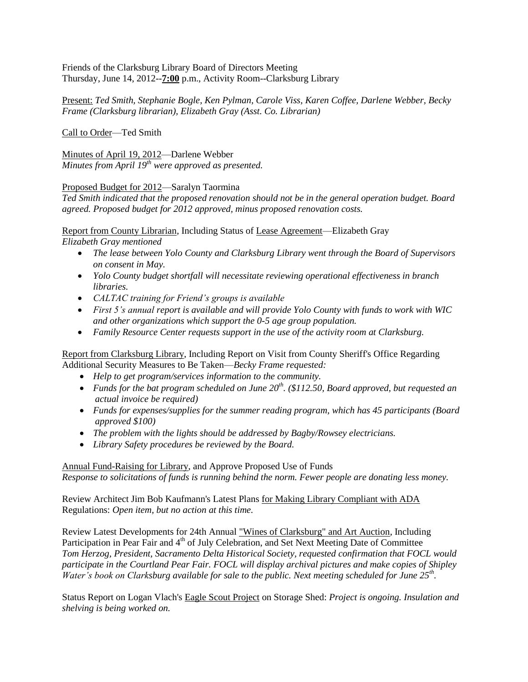## Friends of the Clarksburg Library Board of Directors Meeting Thursday, June 14, 2012--**7:00** p.m., Activity Room--Clarksburg Library

Present: *Ted Smith, Stephanie Bogle, Ken Pylman, Carole Viss, Karen Coffee, Darlene Webber, Becky Frame (Clarksburg librarian), Elizabeth Gray (Asst. Co. Librarian)*

Call to Order—Ted Smith

Minutes of April 19, 2012—Darlene Webber *Minutes from April 19th were approved as presented.*

Proposed Budget for 2012—Saralyn Taormina

*Ted Smith indicated that the proposed renovation should not be in the general operation budget. Board agreed. Proposed budget for 2012 approved, minus proposed renovation costs.*

Report from County Librarian, Including Status of Lease Agreement—Elizabeth Gray *Elizabeth Gray mentioned* 

- *The lease between Yolo County and Clarksburg Library went through the Board of Supervisors on consent in May.*
- *Yolo County budget shortfall will necessitate reviewing operational effectiveness in branch libraries.*
- *CALTAC training for Friend's groups is available*
- *First 5's annual report is available and will provide Yolo County with funds to work with WIC and other organizations which support the 0-5 age group population.*
- *Family Resource Center requests support in the use of the activity room at Clarksburg.*

Report from Clarksburg Library, Including Report on Visit from County Sheriff's Office Regarding Additional Security Measures to Be Taken—*Becky Frame requested:*

- *Help to get program/services information to the community.*
- *Funds for the bat program scheduled on June 20th. (\$112.50, Board approved, but requested an actual invoice be required)*
- *Funds for expenses/supplies for the summer reading program, which has 45 participants (Board approved \$100)*
- *The problem with the lights should be addressed by Bagby/Rowsey electricians.*
- *Library Safety procedures be reviewed by the Board.*

## Annual Fund-Raising for Library, and Approve Proposed Use of Funds

*Response to solicitations of funds is running behind the norm. Fewer people are donating less money.*

Review Architect Jim Bob Kaufmann's Latest Plans for Making Library Compliant with ADA Regulations: *Open item, but no action at this time.* 

Review Latest Developments for 24th Annual "Wines of Clarksburg" and Art Auction, Including Participation in Pear Fair and 4<sup>th</sup> of July Celebration, and Set Next Meeting Date of Committee *Tom Herzog, President, Sacramento Delta Historical Society, requested confirmation that FOCL would participate in the Courtland Pear Fair. FOCL will display archival pictures and make copies of Shipley Water's book on Clarksburg available for sale to the public. Next meeting scheduled for June 25th .*

Status Report on Logan Vlach's Eagle Scout Project on Storage Shed: *Project is ongoing. Insulation and shelving is being worked on.*